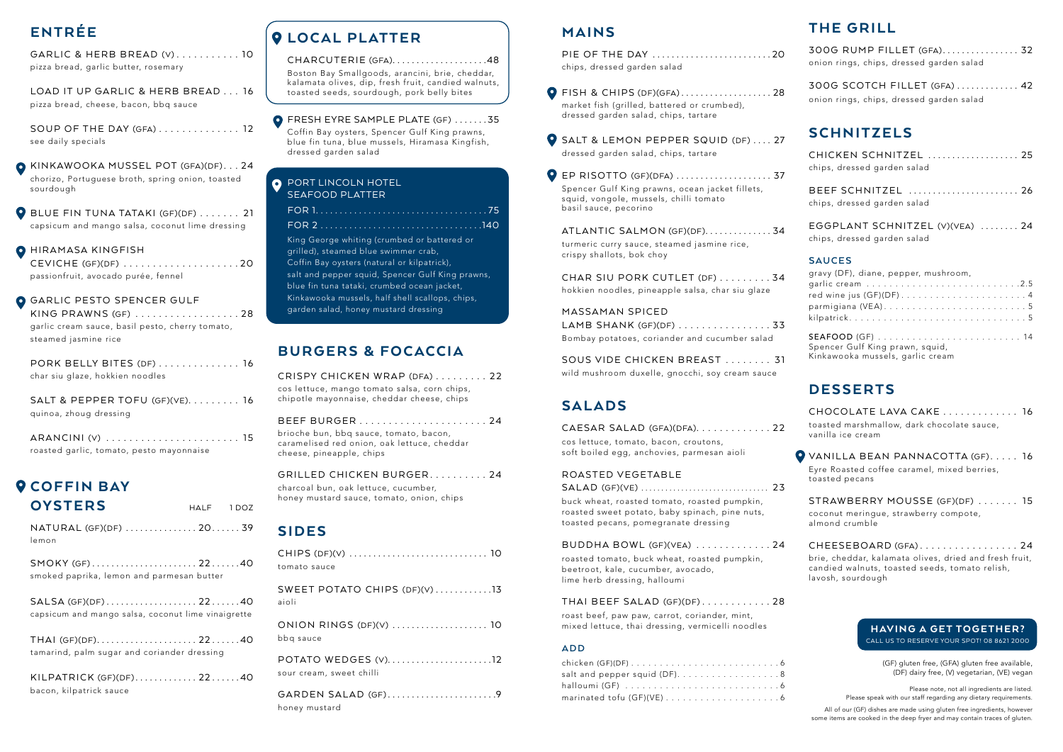### MAINS

| PIE OF THE DAY 20           |  |
|-----------------------------|--|
| chips, dressed garden salad |  |

- $\bullet$  FISH & CHIPS (DF)(GFA)........................28 market fish (grilled, battered or crumbed), dressed garden salad, chips, tartare
- **O** SALT & LEMON PEPPER SQUID (DF) .... 27 dressed garden salad, chips, tartare

ATLANTIC SALMON (GF)(DF)..............34 turmeric curry sauce, steamed jasmine rice, crispy shallots, bok choy

EP RISOTTO (GF)(DFA) . . . . . . . . . . . . . . . . . . . . 37 Spencer Gulf King prawns, ocean jacket fillets, squid, vongole, mussels, chilli tomato basil sauce, pecorino

CAESAR SALAD (GFA)(DFA). . . . . . . . . . . . 22 cos lettuce, tomato, bacon, croutons, soft boiled egg, anchovies, parmesan aioli

CHAR SIU PORK CUTLET (DF) . . . . . . . . 34 hokkien noodles, pineapple salsa, char siu glaze

MASSAMAN SPICED LAMB SHANK (GF)(DF) . . . . . . . . . . . . . . . 33 Bombay potatoes, coriander and cucumber salad

SOUS VIDE CHICKEN BREAST . . . . . . . . 31 wild mushroom duxelle, gnocchi, soy cream sauce

### SALADS

#### ROASTED VEGETABLE

GRILLED CHICKEN BURGER.......... 24 charcoal bun, oak lettuce, cucumber, honey mustard sauce, tomato, onion, chips

SALAD (GF)(VE) . . . . . . . . . . . . . . . . . . . . . . . . . . . . . . . . 23 buck wheat, roasted tomato, roasted pumpkin, roasted sweet potato, baby spinach, pine nuts, toasted pecans, pomegranate dressing

#### BUDDHA BOWL (GF)(VEA) . . . . . . . . . . . . 24

roasted tomato, buck wheat, roasted pumpkin, beetroot, kale, cucumber, avocado, lime herb dressing, halloumi

> Please note, not all ingredients are listed. Please speak with our staff regarding any dietary requirements.

#### THAI BEEF SALAD (GF)(DF) . . . . . . . . . . . 28

roast beef, paw paw, carrot, coriander, mint, mixed lettuce, thai dressing, vermicelli noodles

#### **ADD**

| salt and pepper squid (DF)8 |  |
|-----------------------------|--|
|                             |  |
|                             |  |

 $\bullet$  BLUE FIN TUNA TATAKI (GF)(DF)  $\dots$  . . . . . . 21 capsicum and mango salsa, coconut lime dressing

**O** HIRAMASA KINGFISH

### BURGERS & FOCACCIA

CRISPY CHICKEN WRAP (DFA) . . . . . . . . . 22 cos lettuce, mango tomato salsa, corn chips, chipotle mayonnaise, cheddar cheese, chips

| brioche bun, bbq sauce, tomato, bacon,<br>caramelised red onion, oak lettuce, cheddar<br>cheese, pineapple, chips |  |
|-------------------------------------------------------------------------------------------------------------------|--|

### SIDES

CHARCUTERIE (GFA).....................48 Boston Bay Smallgoods, arancini, brie, cheddar, kalamata olives, dip, fresh fruit, candied walnuts, toasted seeds, sourdough, pork belly bites

**O** FRESH EYRE SAMPLE PLATE (GF) .......35 Coffin Bay oysters, Spencer Gulf King prawns,

| tomato sauce                                    |
|-------------------------------------------------|
| SWEET POTATO CHIPS (DF)(V) 13<br>aioli          |
| ONION RINGS (DF)(V)  10<br>bbq sauce            |
| POTATO WEDGES (V)12<br>sour cream, sweet chilli |
| GARDEN SALAD (GF)9<br>honey mustard             |

#### **O** PORT LINCOLN HOTEL SEAFOOD PLATTER

#### HAVING A GET TOGETHER? CALL US TO RESERVE YOUR SPOT! 08 8621 2000

(GF) gluten free, (GFA) gluten free available, (DF) dairy free, (V) vegetarian, (VE) vegan

All of our (GF) dishes are made using gluten free ingredients, however some items are cooked in the deep fryer and may contain traces of gluten.

# ENTRÉE

GARLIC & HERB BREAD (V) . . . . . . . . . . . 10 pizza bread, garlic butter, rosemary

LOAD IT UP GARLIC & HERB BREAD . . . 16 pizza bread, cheese, bacon, bbq sauce

> **O** VANILLA BEAN PANNACOTTA (GF)..... 16 Eyre Roasted coffee caramel, mixed berries, toasted pecans

SOUP OF THE DAY (GFA) . . . . . . . . . . . . . . 12 see daily specials

KINKAWOOKA MUSSEL POT (GFA)(DF) . . . 24 chorizo, Portuguese broth, spring onion, toasted sourdough

CEVICHE (GF)(DF) . . . . . . . . . . . . . . . . . . . 20 passionfruit, avocado purée, fennel

### **O** GARLIC PESTO SPENCER GULF

| KING PRAWNS (GF) 28                             |  |
|-------------------------------------------------|--|
| garlic cream sauce, basil pesto, cherry tomato, |  |
| steamed jasmine rice                            |  |

| PORK BELLY BITES (DF)  16       |  |
|---------------------------------|--|
| char siu glaze, hokkien noodles |  |

| SALT & PEPPER TOFU (GF)(VE). $\ldots \ldots \ldots$ 16 |  |
|--------------------------------------------------------|--|
| quinoa, zhoug dressing                                 |  |

| roasted garlic, tomato, pesto mayonnaise |  |
|------------------------------------------|--|

# **O COFFIN BAY**

| <b>OYSTERS</b>                                                           | HALF 1DOZ |  |
|--------------------------------------------------------------------------|-----------|--|
| NATURAL (GF)(DF) 20 39<br>lemon                                          |           |  |
| SMOKY (GF)2240<br>smoked paprika, lemon and parmesan butter              |           |  |
| SALSA (GF)(DF)2240<br>capsicum and mango salsa, coconut lime vinaigrette |           |  |
| THAI (GF)(DF)2240<br>tamarind, palm sugar and coriander dressing         |           |  |
| KILPATRICK (GF)(DF)2240<br>bacon, kilpatrick sauce                       |           |  |

# **Q LOCAL PLATTER**

blue fin tuna, blue mussels, Hiramasa Kingfish, dressed garden salad

King George whiting (crumbed or battered or grilled), steamed blue swimmer crab, Coffin Bay oysters (natural or kilpatrick), salt and pepper squid, Spencer Gulf King prawns, blue fin tuna tataki, crumbed ocean jacket, Kinkawooka mussels, half shell scallops, chips, garden salad, honey mustard dressing

## THE GRILL

| 300G RUMP FILLET (GFA) 32<br>onion rings, chips, dressed garden salad    |
|--------------------------------------------------------------------------|
| 300G SCOTCH FILLET (GFA)  42<br>onion rings, chips, dressed garden salad |
| <b>SCHNITZELS</b>                                                        |
| CHICKEN SCHNITZEL  25<br>chips, dressed garden salad                     |
| BEEF SCHNITZEL  26<br>chips, dressed garden salad                        |
| EGGPLANT SCHNITZEL (V)(VEA)  24<br>chips, dressed garden salad           |
| <b>SAUCES</b><br>gravy (DF), diane, pepper, mushroom,                    |

| gravy (DT), diane, pepper, musinooni, |
|---------------------------------------|
|                                       |
|                                       |
|                                       |
|                                       |
|                                       |
| Spencer Gulf King prawn, squid,       |
| Kinkawooka mussels, garlic cream      |

### DESSERTS

CHOCOLATE LAVA CAKE . . . . . . . . . . . . . 16 toasted marshmallow, dark chocolate sauce, vanilla ice cream

STRAWBERRY MOUSSE (GF)(DF) . . . . . . . 15 coconut meringue, strawberry compote, almond crumble

CHEESEBOARD (GFA) . . . . . . . . . . . . . . . . . 24 brie, cheddar, kalamata olives, dried and fresh fruit, candied walnuts, toasted seeds, tomato relish, lavosh, sourdough